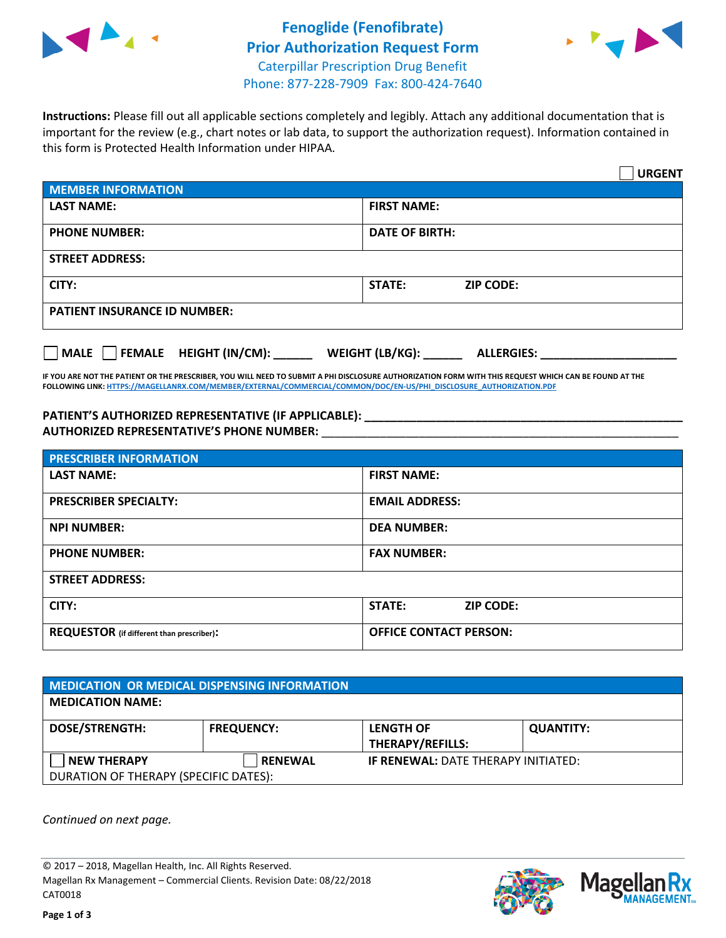



**Instructions:** Please fill out all applicable sections completely and legibly. Attach any additional documentation that is important for the review (e.g., chart notes or lab data, to support the authorization request). Information contained in this form is Protected Health Information under HIPAA.

|                                       | <b>URGENT</b>                        |  |  |  |
|---------------------------------------|--------------------------------------|--|--|--|
| <b>MEMBER INFORMATION</b>             |                                      |  |  |  |
| <b>LAST NAME:</b>                     | <b>FIRST NAME:</b>                   |  |  |  |
| <b>PHONE NUMBER:</b>                  | <b>DATE OF BIRTH:</b>                |  |  |  |
| <b>STREET ADDRESS:</b>                |                                      |  |  |  |
| CITY:                                 | <b>ZIP CODE:</b><br>STATE:           |  |  |  |
| <b>PATIENT INSURANCE ID NUMBER:</b>   |                                      |  |  |  |
| FEMALE HEIGHT (IN/CM):<br><b>MALE</b> | WEIGHT (LB/KG):<br><b>ALLERGIES:</b> |  |  |  |

**IF YOU ARE NOT THE PATIENT OR THE PRESCRIBER, YOU WILL NEED TO SUBMIT A PHI DISCLOSURE AUTHORIZATION FORM WITH THIS REQUEST WHICH CAN BE FOUND AT THE FOLLOWING LINK[: HTTPS://MAGELLANRX.COM/MEMBER/EXTERNAL/COMMERCIAL/COMMON/DOC/EN-US/PHI\\_DISCLOSURE\\_AUTHORIZATION.PDF](https://magellanrx.com/member/external/commercial/common/doc/en-us/PHI_Disclosure_Authorization.pdf)**

**PATIENT'S AUTHORIZED REPRESENTATIVE (IF APPLICABLE): \_\_\_\_\_\_\_\_\_\_\_\_\_\_\_\_\_\_\_\_\_\_\_\_\_\_\_\_\_\_\_\_\_\_\_\_\_\_\_\_\_\_\_\_\_\_\_\_\_ AUTHORIZED REPRESENTATIVE'S PHONE NUMBER:** \_\_\_\_\_\_\_\_\_\_\_\_\_\_\_\_\_\_\_\_\_\_\_\_\_\_\_\_\_\_\_\_\_\_\_\_\_\_\_\_\_\_\_\_\_\_\_\_\_\_\_\_\_\_\_

| <b>PRESCRIBER INFORMATION</b>             |                                   |  |  |  |
|-------------------------------------------|-----------------------------------|--|--|--|
| <b>LAST NAME:</b>                         | <b>FIRST NAME:</b>                |  |  |  |
| <b>PRESCRIBER SPECIALTY:</b>              | <b>EMAIL ADDRESS:</b>             |  |  |  |
| <b>NPI NUMBER:</b>                        | <b>DEA NUMBER:</b>                |  |  |  |
| <b>PHONE NUMBER:</b>                      | <b>FAX NUMBER:</b>                |  |  |  |
| <b>STREET ADDRESS:</b>                    |                                   |  |  |  |
| CITY:                                     | <b>STATE:</b><br><b>ZIP CODE:</b> |  |  |  |
| REQUESTOR (if different than prescriber): | <b>OFFICE CONTACT PERSON:</b>     |  |  |  |

| <b>MEDICATION OR MEDICAL DISPENSING INFORMATION</b> |                   |                                            |                  |  |  |
|-----------------------------------------------------|-------------------|--------------------------------------------|------------------|--|--|
| <b>MEDICATION NAME:</b>                             |                   |                                            |                  |  |  |
| <b>DOSE/STRENGTH:</b>                               | <b>FREQUENCY:</b> | <b>LENGTH OF</b>                           | <b>QUANTITY:</b> |  |  |
|                                                     |                   | <b>THERAPY/REFILLS:</b>                    |                  |  |  |
| <b>NEW THERAPY</b>                                  | <b>RENEWAL</b>    | <b>IF RENEWAL: DATE THERAPY INITIATED:</b> |                  |  |  |
| DURATION OF THERAPY (SPECIFIC DATES):               |                   |                                            |                  |  |  |

*Continued on next page.*

© 2017 – 2018, Magellan Health, Inc. All Rights Reserved. Magellan Rx Management – Commercial Clients. Revision Date: 08/22/2018 CAT0018



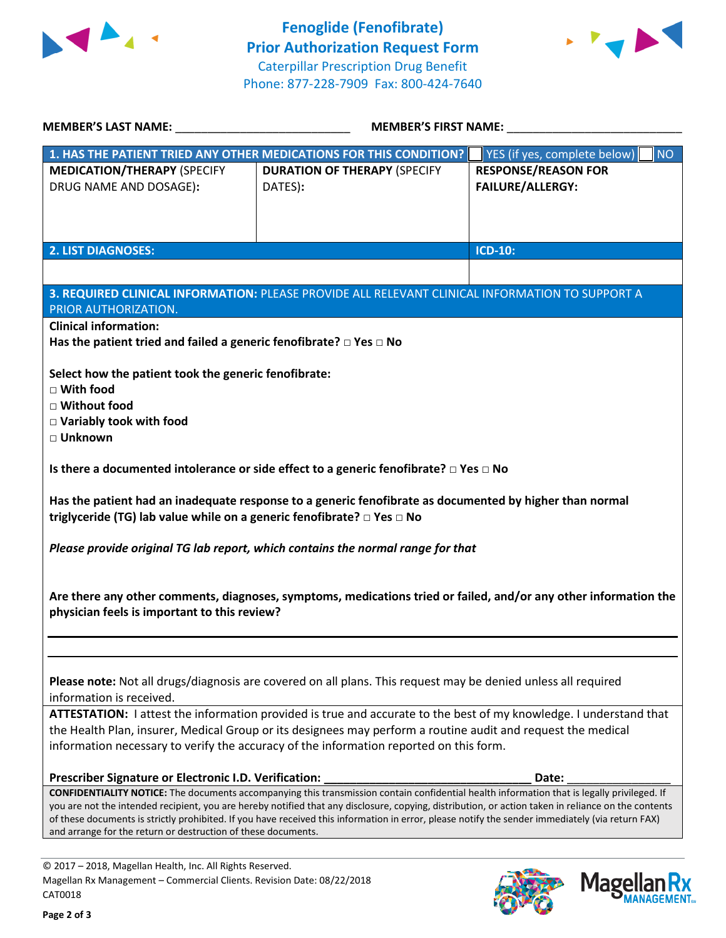



Mage

**lan Rx<br>NAGEMENT...** 

| MEMBER'S LAST NAME: NAME:                                                                                                                                                                                                                                                                               | <b>MEMBER'S FIRST NAME:</b>                                                                                                                        |                                    |  |  |  |
|---------------------------------------------------------------------------------------------------------------------------------------------------------------------------------------------------------------------------------------------------------------------------------------------------------|----------------------------------------------------------------------------------------------------------------------------------------------------|------------------------------------|--|--|--|
|                                                                                                                                                                                                                                                                                                         | 1. HAS THE PATIENT TRIED ANY OTHER MEDICATIONS FOR THIS CONDITION?                                                                                 | YES (if yes, complete below)<br>NO |  |  |  |
| <b>MEDICATION/THERAPY (SPECIFY</b>                                                                                                                                                                                                                                                                      | <b>DURATION OF THERAPY (SPECIFY</b>                                                                                                                | <b>RESPONSE/REASON FOR</b>         |  |  |  |
| DRUG NAME AND DOSAGE):                                                                                                                                                                                                                                                                                  | DATES):                                                                                                                                            | <b>FAILURE/ALLERGY:</b>            |  |  |  |
|                                                                                                                                                                                                                                                                                                         |                                                                                                                                                    |                                    |  |  |  |
|                                                                                                                                                                                                                                                                                                         |                                                                                                                                                    |                                    |  |  |  |
| <b>2. LIST DIAGNOSES:</b>                                                                                                                                                                                                                                                                               |                                                                                                                                                    | <b>ICD-10:</b>                     |  |  |  |
|                                                                                                                                                                                                                                                                                                         |                                                                                                                                                    |                                    |  |  |  |
|                                                                                                                                                                                                                                                                                                         | 3. REQUIRED CLINICAL INFORMATION: PLEASE PROVIDE ALL RELEVANT CLINICAL INFORMATION TO SUPPORT A                                                    |                                    |  |  |  |
| PRIOR AUTHORIZATION.                                                                                                                                                                                                                                                                                    |                                                                                                                                                    |                                    |  |  |  |
| <b>Clinical information:</b>                                                                                                                                                                                                                                                                            |                                                                                                                                                    |                                    |  |  |  |
| Has the patient tried and failed a generic fenofibrate? $\Box$ Yes $\Box$ No                                                                                                                                                                                                                            |                                                                                                                                                    |                                    |  |  |  |
|                                                                                                                                                                                                                                                                                                         |                                                                                                                                                    |                                    |  |  |  |
| Select how the patient took the generic fenofibrate:<br>$\Box$ With food                                                                                                                                                                                                                                |                                                                                                                                                    |                                    |  |  |  |
| □ Without food                                                                                                                                                                                                                                                                                          |                                                                                                                                                    |                                    |  |  |  |
| □ Variably took with food                                                                                                                                                                                                                                                                               |                                                                                                                                                    |                                    |  |  |  |
| □ Unknown                                                                                                                                                                                                                                                                                               |                                                                                                                                                    |                                    |  |  |  |
|                                                                                                                                                                                                                                                                                                         |                                                                                                                                                    |                                    |  |  |  |
|                                                                                                                                                                                                                                                                                                         | Is there a documented intolerance or side effect to a generic fenofibrate? $\Box$ Yes $\Box$ No                                                    |                                    |  |  |  |
| Has the patient had an inadequate response to a generic fenofibrate as documented by higher than normal<br>triglyceride (TG) lab value while on a generic fenofibrate? □ Yes □ No                                                                                                                       |                                                                                                                                                    |                                    |  |  |  |
| Please provide original TG lab report, which contains the normal range for that                                                                                                                                                                                                                         |                                                                                                                                                    |                                    |  |  |  |
| Are there any other comments, diagnoses, symptoms, medications tried or failed, and/or any other information the<br>physician feels is important to this review?                                                                                                                                        |                                                                                                                                                    |                                    |  |  |  |
|                                                                                                                                                                                                                                                                                                         |                                                                                                                                                    |                                    |  |  |  |
| Please note: Not all drugs/diagnosis are covered on all plans. This request may be denied unless all required<br>information is received.                                                                                                                                                               |                                                                                                                                                    |                                    |  |  |  |
| ATTESTATION: I attest the information provided is true and accurate to the best of my knowledge. I understand that                                                                                                                                                                                      |                                                                                                                                                    |                                    |  |  |  |
| the Health Plan, insurer, Medical Group or its designees may perform a routine audit and request the medical                                                                                                                                                                                            |                                                                                                                                                    |                                    |  |  |  |
| information necessary to verify the accuracy of the information reported on this form.                                                                                                                                                                                                                  |                                                                                                                                                    |                                    |  |  |  |
| Prescriber Signature or Electronic I.D. Verification:                                                                                                                                                                                                                                                   |                                                                                                                                                    | Date:                              |  |  |  |
|                                                                                                                                                                                                                                                                                                         | <b>CONFIDENTIALITY NOTICE:</b> The documents accompanying this transmission contain confidential health information that is legally privileged. If |                                    |  |  |  |
| you are not the intended recipient, you are hereby notified that any disclosure, copying, distribution, or action taken in reliance on the contents<br>of these documents is strictly prohibited. If you have received this information in error, please notify the sender immediately (via return FAX) |                                                                                                                                                    |                                    |  |  |  |
|                                                                                                                                                                                                                                                                                                         | and arrange for the return or destruction of these documents.                                                                                      |                                    |  |  |  |
|                                                                                                                                                                                                                                                                                                         |                                                                                                                                                    |                                    |  |  |  |
| © 2017 - 2018. Magellan Health, Inc. All Rights Reserved                                                                                                                                                                                                                                                |                                                                                                                                                    |                                    |  |  |  |

L8, Magellan Health, Inc. All Rights Magellan Rx Management – Commercial Clients. Revision Date: 08/22/2018 CAT0018